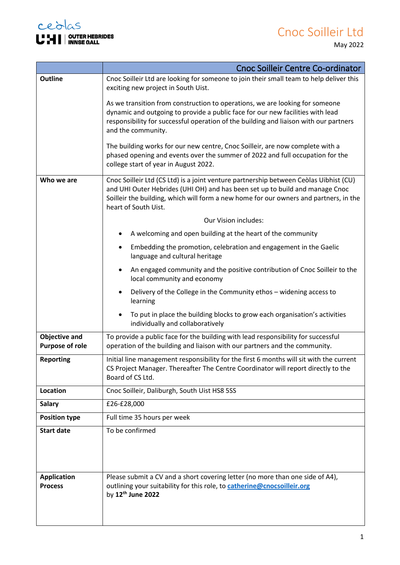

|                                                | Cnoc Soilleir Centre Co-ordinator                                                                                                                                                                                                                                                      |
|------------------------------------------------|----------------------------------------------------------------------------------------------------------------------------------------------------------------------------------------------------------------------------------------------------------------------------------------|
| <b>Outline</b>                                 | Cnoc Soilleir Ltd are looking for someone to join their small team to help deliver this<br>exciting new project in South Uist.                                                                                                                                                         |
|                                                | As we transition from construction to operations, we are looking for someone<br>dynamic and outgoing to provide a public face for our new facilities with lead<br>responsibility for successful operation of the building and liaison with our partners<br>and the community.          |
|                                                | The building works for our new centre, Cnoc Soilleir, are now complete with a<br>phased opening and events over the summer of 2022 and full occupation for the<br>college start of year in August 2022.                                                                                |
| Who we are                                     | Cnoc Soilleir Ltd (CS Ltd) is a joint venture partnership between Ceòlas Uibhist (CU)<br>and UHI Outer Hebrides (UHI OH) and has been set up to build and manage Cnoc<br>Soilleir the building, which will form a new home for our owners and partners, in the<br>heart of South Uist. |
|                                                | Our Vision includes:                                                                                                                                                                                                                                                                   |
|                                                | A welcoming and open building at the heart of the community                                                                                                                                                                                                                            |
|                                                | Embedding the promotion, celebration and engagement in the Gaelic<br>٠<br>language and cultural heritage                                                                                                                                                                               |
|                                                | An engaged community and the positive contribution of Cnoc Soilleir to the<br>$\bullet$<br>local community and economy                                                                                                                                                                 |
|                                                | Delivery of the College in the Community ethos - widening access to<br>learning                                                                                                                                                                                                        |
|                                                | To put in place the building blocks to grow each organisation's activities<br>$\bullet$<br>individually and collaboratively                                                                                                                                                            |
| <b>Objective and</b><br><b>Purpose of role</b> | To provide a public face for the building with lead responsibility for successful<br>operation of the building and liaison with our partners and the community.                                                                                                                        |
| <b>Reporting</b>                               | Initial line management responsibility for the first 6 months will sit with the current<br>CS Project Manager. Thereafter The Centre Coordinator will report directly to the<br>Board of CS Ltd.                                                                                       |
| Location                                       | Cnoc Soilleir, Daliburgh, South Uist HS8 5SS                                                                                                                                                                                                                                           |
| <b>Salary</b>                                  | £26-£28,000                                                                                                                                                                                                                                                                            |
| <b>Position type</b>                           | Full time 35 hours per week                                                                                                                                                                                                                                                            |
| <b>Start date</b>                              | To be confirmed                                                                                                                                                                                                                                                                        |
| <b>Application</b><br><b>Process</b>           | Please submit a CV and a short covering letter (no more than one side of A4),<br>outlining your suitability for this role, to catherine@cnocsoilleir.org<br>by 12 <sup>th</sup> June 2022                                                                                              |